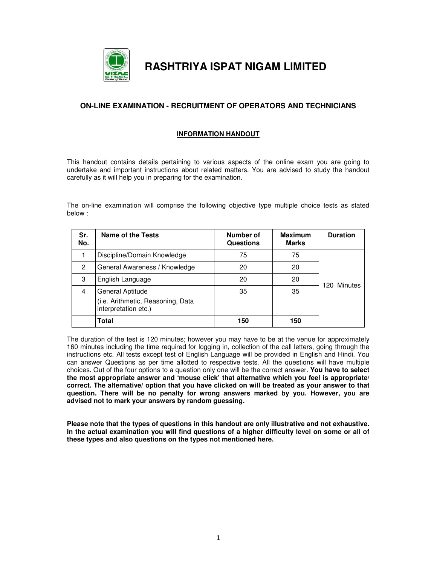

**RASHTRIYA ISPAT NIGAM LIMITED** 

## **ON-LINE EXAMINATION - RECRUITMENT OF OPERATORS AND TECHNICIANS**

#### **INFORMATION HANDOUT**

This handout contains details pertaining to various aspects of the online exam you are going to undertake and important instructions about related matters. You are advised to study the handout carefully as it will help you in preparing for the examination.

The on-line examination will comprise the following objective type multiple choice tests as stated below :

| Sr.<br>No. | Name of the Tests                                                             | Number of<br><b>Questions</b> | <b>Maximum</b><br>Marks | <b>Duration</b> |  |
|------------|-------------------------------------------------------------------------------|-------------------------------|-------------------------|-----------------|--|
|            | Discipline/Domain Knowledge                                                   | 75                            | 75                      |                 |  |
| 2          | General Awareness / Knowledge                                                 | 20                            | 20                      |                 |  |
| 3          | English Language                                                              | 20                            | 20                      |                 |  |
| 4          | General Aptitude<br>(i.e. Arithmetic, Reasoning, Data<br>interpretation etc.) | 35                            | 35                      | 120 Minutes     |  |
|            | <b>Total</b>                                                                  | 150                           | 150                     |                 |  |

The duration of the test is 120 minutes; however you may have to be at the venue for approximately 160 minutes including the time required for logging in, collection of the call letters, going through the instructions etc. All tests except test of English Language will be provided in English and Hindi. You can answer Questions as per time allotted to respective tests. All the questions will have multiple choices. Out of the four options to a question only one will be the correct answer. **You have to select the most appropriate answer and 'mouse click' that alternative which you feel is appropriate/ correct. The alternative/ option that you have clicked on will be treated as your answer to that question. There will be no penalty for wrong answers marked by you. However, you are advised not to mark your answers by random guessing.** 

**Please note that the types of questions in this handout are only illustrative and not exhaustive. In the actual examination you will find questions of a higher difficulty level on some or all of these types and also questions on the types not mentioned here.**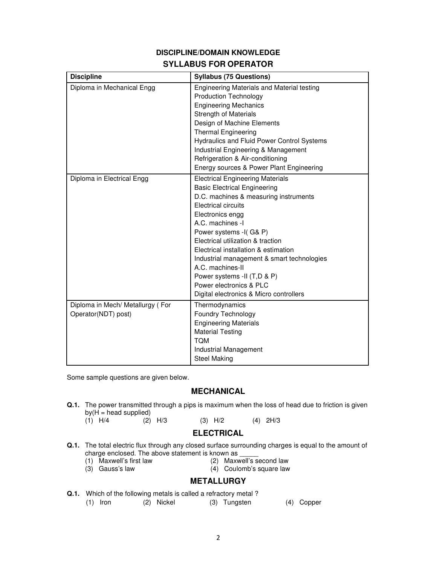## **DISCIPLINE/DOMAIN KNOWLEDGE SYLLABUS FOR OPERATOR**

| <b>Discipline</b>                                       | <b>Syllabus (75 Questions)</b>                                                                                                                                                                                                                                                                                                                                                                                                                                              |  |  |
|---------------------------------------------------------|-----------------------------------------------------------------------------------------------------------------------------------------------------------------------------------------------------------------------------------------------------------------------------------------------------------------------------------------------------------------------------------------------------------------------------------------------------------------------------|--|--|
| Diploma in Mechanical Engg                              | Engineering Materials and Material testing<br><b>Production Technology</b><br><b>Engineering Mechanics</b><br><b>Strength of Materials</b><br>Design of Machine Elements<br><b>Thermal Engineering</b><br>Hydraulics and Fluid Power Control Systems                                                                                                                                                                                                                        |  |  |
|                                                         | Industrial Engineering & Management<br>Refrigeration & Air-conditioning<br>Energy sources & Power Plant Engineering                                                                                                                                                                                                                                                                                                                                                         |  |  |
| Diploma in Electrical Engg                              | <b>Electrical Engineering Materials</b><br><b>Basic Electrical Engineering</b><br>D.C. machines & measuring instruments<br><b>Electrical circuits</b><br>Electronics engg<br>A.C. machines -I<br>Power systems -I(G& P)<br>Electrical utilization & traction<br>Electrical installation & estimation<br>Industrial management & smart technologies<br>A.C. machines-II<br>Power systems -II (T,D & P)<br>Power electronics & PLC<br>Digital electronics & Micro controllers |  |  |
| Diploma in Mech/ Metallurgy (For<br>Operator(NDT) post) | Thermodynamics<br>Foundry Technology<br><b>Engineering Materials</b><br><b>Material Testing</b><br><b>TOM</b><br>Industrial Management<br><b>Steel Making</b>                                                                                                                                                                                                                                                                                                               |  |  |

Some sample questions are given below.

## **MECHANICAL**

- **Q.1.** The power transmitted through a pips is maximum when the loss of head due to friction is given by( $H =$  head supplied)<br>(1)  $H/4$  (2)  $H/3$ 
	- $(3)$  H/2  $(4)$  2H/3

### **ELECTRICAL**

- **Q.1.** The total electric flux through any closed surface surrounding charges is equal to the amount of charge enclosed. The above statement is known as  $(1)$  Maxwell's first law  $(2)$  Maxw
	- (1) Maxwell's first law (2) Maxwell's second law<br>(3) Gauss's law (3) Gauss's law (4) Coulomb's square law
		-

 $(4)$  Coulomb's square law

# **METALLURGY**

**Q.1.** Which of the following metals is called a refractory metal ? (1) Iron (2) Nickel (3) Tungsten (4) Copper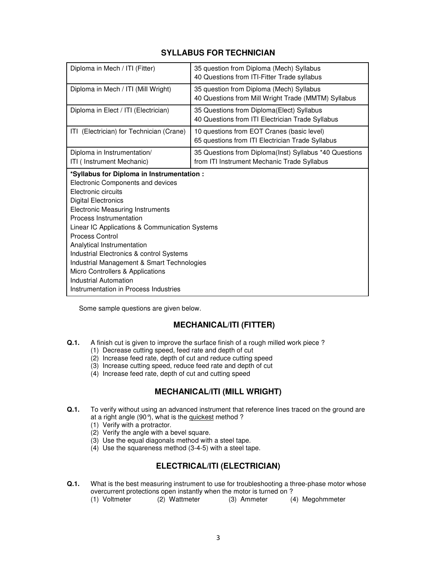# **SYLLABUS FOR TECHNICIAN**

| Diploma in Mech / ITI (Fitter)                                                                                                                                                                                                                                                                                                                                                                                                                                                                                              | 35 question from Diploma (Mech) Syllabus<br>40 Questions from ITI-Fitter Trade syllabus               |  |  |
|-----------------------------------------------------------------------------------------------------------------------------------------------------------------------------------------------------------------------------------------------------------------------------------------------------------------------------------------------------------------------------------------------------------------------------------------------------------------------------------------------------------------------------|-------------------------------------------------------------------------------------------------------|--|--|
| Diploma in Mech / ITI (Mill Wright)                                                                                                                                                                                                                                                                                                                                                                                                                                                                                         | 35 question from Diploma (Mech) Syllabus<br>40 Questions from Mill Wright Trade (MMTM) Syllabus       |  |  |
| Diploma in Elect / ITI (Electrician)                                                                                                                                                                                                                                                                                                                                                                                                                                                                                        | 35 Questions from Diploma (Elect) Syllabus<br>40 Questions from ITI Electrician Trade Syllabus        |  |  |
| ITI (Electrician) for Technician (Crane)                                                                                                                                                                                                                                                                                                                                                                                                                                                                                    | 10 questions from EOT Cranes (basic level)<br>65 questions from ITI Electrician Trade Syllabus        |  |  |
| Diploma in Instrumentation/<br>ITI ( Instrument Mechanic)                                                                                                                                                                                                                                                                                                                                                                                                                                                                   | 35 Questions from Diploma(Inst) Syllabus *40 Questions<br>from ITI Instrument Mechanic Trade Syllabus |  |  |
| *Syllabus for Diploma in Instrumentation :<br>Electronic Components and devices<br>Electronic circuits<br><b>Digital Electronics</b><br><b>Electronic Measuring Instruments</b><br>Process Instrumentation<br>Linear IC Applications & Communication Systems<br><b>Process Control</b><br>Analytical Instrumentation<br>Industrial Electronics & control Systems<br>Industrial Management & Smart Technologies<br>Micro Controllers & Applications<br><b>Industrial Automation</b><br>Instrumentation in Process Industries |                                                                                                       |  |  |

Some sample questions are given below.

# **MECHANICAL/ITI (FITTER)**

- **Q.1.** A finish cut is given to improve the surface finish of a rough milled work piece ?
	- (1) Decrease cutting speed, feed rate and depth of cut
	- (2) Increase feed rate, depth of cut and reduce cutting speed
	- (3) Increase cutting speed, reduce feed rate and depth of cut
	- (4) Increase feed rate, depth of cut and cutting speed

# **MECHANICAL/ITI (MILL WRIGHT)**

- **Q.1.** To verify without using an advanced instrument that reference lines traced on the ground are at a right angle (90°), what is the quickest method ?
	- (1) Verify with a protractor.
	- (2) Verify the angle with a bevel square.
	- (3) Use the equal diagonals method with a steel tape.
	- $(4)$  Use the squareness method  $(3-4-5)$  with a steel tape.

# **ELECTRICAL/ITI (ELECTRICIAN)**

- **Q.1.** What is the best measuring instrument to use for troubleshooting a three-phase motor whose overcurrent protections open instantly when the motor is turned on ?<br>(1) Voltmeter (2) Wattmeter (3) Ammeter (4)
	- (4) Megohmmeter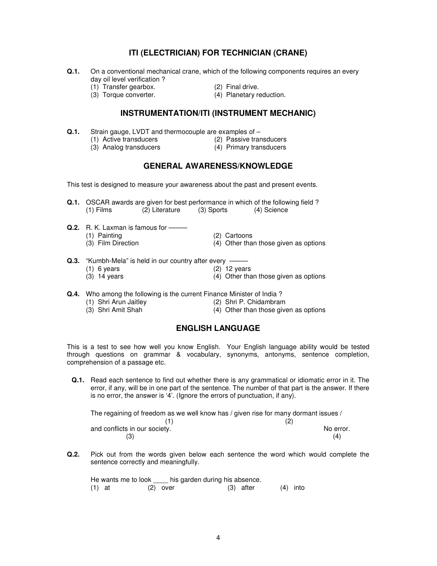## **ITI (ELECTRICIAN) FOR TECHNICIAN (CRANE)**

- **Q.1.** On a conventional mechanical crane, which of the following components requires an every day oil level verification ?
	-
- 
- (1) Transfer gearbox. (2) Final drive.<br>
(3) Torque converter. (4) Planetary reduction.  $(3)$  Torque converter.
	-
	-

## **INSTRUMENTATION/ITI (INSTRUMENT MECHANIC)**

- **Q.1.** Strain gauge, LVDT and thermocouple are examples of
	- (1) Active transducers (2) Passive transducers
	- (3) Analog transducers
- 
- 

#### **GENERAL AWARENESS/KNOWLEDGE**

This test is designed to measure your awareness about the past and present events.

- **Q.1.** OSCAR awards are given for best performance in which of the following field ? (1) Films (2) Literature (3) Sports (4) Science
- **Q.2.** R. K. Laxman is famous for –––––
	- (1) Painting (2) Cartoons<br>
	(3) Film Direction (3) (4) Other that
		- $(4)$  Other than those given as options
- **Q.3.** "Kumbh-Mela" is held in our country after every ––
	- (1) 6 years (3) 14 years (3) 14 years (3) 14 years (4) Other that
	- $(4)$  Other than those given as options
- **Q.4.** Who among the following is the current Finance Minister of India ?<br>(1) Shri Arun Jaitley (2) Shri P. Chidambran
	- (2) Shri P. Chidambram
	- (3) Shri Amit Shah (4) Other than those given as options
- -

## **ENGLISH LANGUAGE**

This is a test to see how well you know English. Your English language ability would be tested through questions on grammar & vocabulary, synonyms, antonyms, sentence completion, comprehension of a passage etc.

**Q.1.** Read each sentence to find out whether there is any grammatical or idiomatic error in it. The error, if any, will be in one part of the sentence. The number of that part is the answer. If there is no error, the answer is '4'. (Ignore the errors of punctuation, if any).

| The regaining of freedom as we well know has / given rise for many dormant issues / |           |  |  |  |
|-------------------------------------------------------------------------------------|-----------|--|--|--|
|                                                                                     | (2)       |  |  |  |
| and conflicts in our society.                                                       | No error. |  |  |  |
| (3)                                                                                 | (4)       |  |  |  |

**Q.2.** Pick out from the words given below each sentence the word which would complete the sentence correctly and meaningfully.

| He wants me to look |            | his garden during his absence. |            |
|---------------------|------------|--------------------------------|------------|
| $(1)$ at            | $(2)$ over | (3) after                      | $(4)$ into |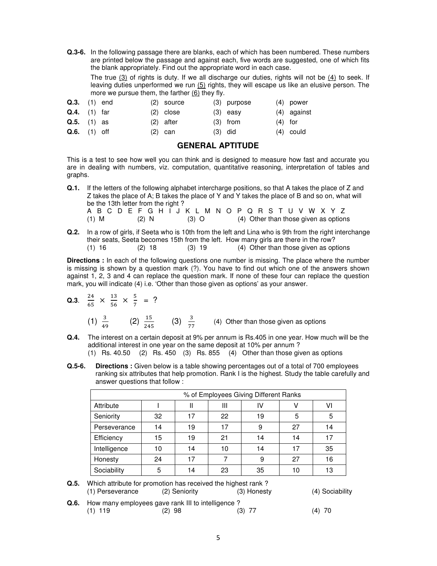**Q.3-6.** In the following passage there are blanks, each of which has been numbered. These numbers are printed below the passage and against each, five words are suggested, one of which fits the blank appropriately. Find out the appropriate word in each case.

 The true (3) of rights is duty. If we all discharge our duties, rights will not be (4) to seek. If leaving duties unperformed we run (5) rights, they will escape us like an elusive person. The more we pursue them, the farther (6) they fly.

|           | $(4)$ power   |
|-----------|---------------|
|           | $(4)$ against |
| $(4)$ for |               |
|           | $(4)$ could   |
|           |               |

#### **GENERAL APTITUDE**

This is a test to see how well you can think and is designed to measure how fast and accurate you are in dealing with numbers, viz. computation, quantitative reasoning, interpretation of tables and graphs.

**Q.1.** If the letters of the following alphabet intercharge positions, so that A takes the place of Z and Z takes the place of A; B takes the place of Y and Y takes the place of B and so on, what will be the 13th letter from the right ? A B C D E F G H I J K L M N O P Q R S T U V W X Y Z<br>(1) M (2) N (3) O (4) Other than those given as option (2) N  $(3)$  O  $(4)$  Other than those given as options

**Q.2.** In a row of girls, if Seeta who is 10th from the left and Lina who is 9th from the right interchange their seats, Seeta becomes 15th from the left. How many girls are there in the row?  $(1)$  16  $(2)$  18  $(3)$  19  $(4)$  Other than those given as options

**Directions :** In each of the following questions one number is missing. The place where the number is missing is shown by a question mark (?). You have to find out which one of the answers shown against 1, 2, 3 and 4 can replace the question mark. If none of these four can replace the question mark, you will indicate (4) i.e. 'Other than those given as options' as your answer.

- **Q.3.**  $\frac{24}{65} \times \frac{13}{56}$  $rac{13}{56} \times \frac{5}{7}$  $\frac{5}{7}$  = ? (1)  $\frac{3}{49}$  (2)  $\frac{15}{245}$  (3)  $\frac{3}{77}$  (4) Other than those given as options
- **Q.4.** The interest on a certain deposit at 9% per annum is Rs.405 in one year. How much will be the additional interest in one year on the same deposit at 10% per annum ? (1) Rs. 40.50 (2) Rs. 450 (3) Rs. 855 (4) Other than those given as options
- **Q.5-6.** Directions: Given below is a table showing percentages out of a total of 700 employees ranking six attributes that help promotion. Rank I is the highest. Study the table carefully and answer questions that follow :

| % of Employees Giving Different Ranks |    |    |    |    |    |    |
|---------------------------------------|----|----|----|----|----|----|
| Attribute                             |    | Ш  | Ш  | IV |    | VI |
| Seniority                             | 32 | 17 | 22 | 19 | 5  | 5  |
| Perseverance                          | 14 | 19 | 17 | 9  | 27 | 14 |
| Efficiency                            | 15 | 19 | 21 | 14 | 14 | 17 |
| Intelligence                          | 10 | 14 | 10 | 14 | 17 | 35 |
| Honesty                               | 24 | 17 |    | 9  | 27 | 16 |
| Sociability                           | 5  | 14 | 23 | 35 | 10 | 13 |



**Q.6.** How many employees gave rank III to intelligence ?<br>(1) 119 (2) 98 (3) 77 (1) 119 (2) 98 (3) 77 (4) 70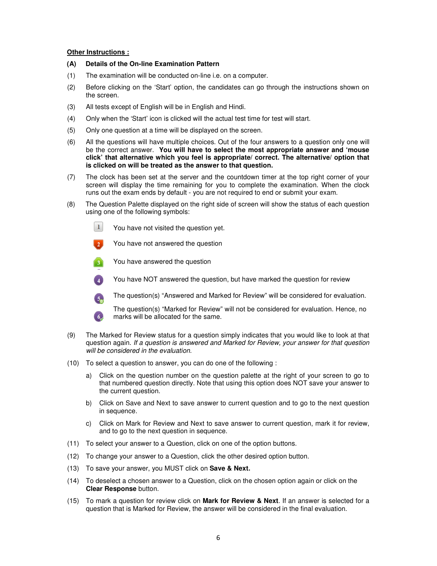#### **Other Instructions :**

- **(A) Details of the On-line Examination Pattern**
- (1) The examination will be conducted on-line i.e. on a computer.
- (2) Before clicking on the 'Start' option, the candidates can go through the instructions shown on the screen.
- (3) All tests except of English will be in English and Hindi.
- (4) Only when the 'Start' icon is clicked will the actual test time for test will start.
- (5) Only one question at a time will be displayed on the screen.
- (6) All the questions will have multiple choices. Out of the four answers to a question only one will be the correct answer. **You will have to select the most appropriate answer and 'mouse click' that alternative which you feel is appropriate/ correct. The alternative/ option that is clicked on will be treated as the answer to that question.**
- (7) The clock has been set at the server and the countdown timer at the top right corner of your screen will display the time remaining for you to complete the examination. When the clock runs out the exam ends by default - you are not required to end or submit your exam.
- (8) The Question Palette displayed on the right side of screen will show the status of each question using one of the following symbols:
	- $\mathbf{1}$ You have not visited the question yet.
		- You have not answered the question
	- You have answered the question  $\left( 3 \right)$
	- You have NOT answered the question, but have marked the question for review  $\left( 4 \right)$
	- The question(s) "Answered and Marked for Review" will be considered for evaluation.  $5<sub>n</sub>$

The question(s) "Marked for Review" will not be considered for evaluation. Hence, no marks will be allocated for the same.  $6<sub>o</sub>$ 

- (9) The Marked for Review status for a question simply indicates that you would like to look at that question again. If a question is answered and Marked for Review, your answer for that question will be considered in the evaluation.
- (10) To select a question to answer, you can do one of the following :
	- a) Click on the question number on the question palette at the right of your screen to go to that numbered question directly. Note that using this option does NOT save your answer to the current question.
	- b) Click on Save and Next to save answer to current question and to go to the next question in sequence.
	- c) Click on Mark for Review and Next to save answer to current question, mark it for review, and to go to the next question in sequence.
- (11) To select your answer to a Question, click on one of the option buttons.
- (12) To change your answer to a Question, click the other desired option button.
- (13) To save your answer, you MUST click on **Save & Next.**
- (14) To deselect a chosen answer to a Question, click on the chosen option again or click on the **Clear Response** button.
- (15) To mark a question for review click on **Mark for Review & Next**. If an answer is selected for a question that is Marked for Review, the answer will be considered in the final evaluation.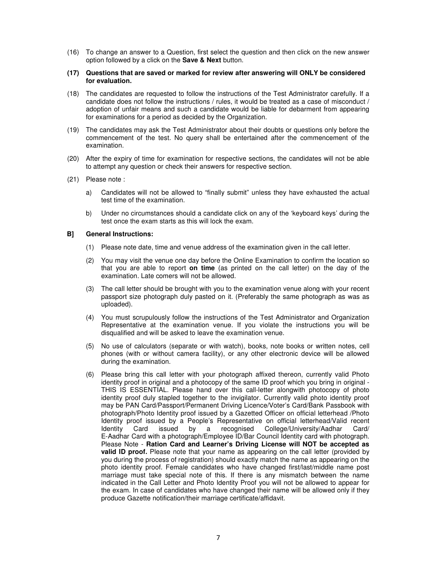- (16) To change an answer to a Question, first select the question and then click on the new answer option followed by a click on the **Save & Next** button.
- **(17) Questions that are saved or marked for review after answering will ONLY be considered for evaluation.**
- (18) The candidates are requested to follow the instructions of the Test Administrator carefully. If a candidate does not follow the instructions / rules, it would be treated as a case of misconduct / adoption of unfair means and such a candidate would be liable for debarment from appearing for examinations for a period as decided by the Organization.
- (19) The candidates may ask the Test Administrator about their doubts or questions only before the commencement of the test. No query shall be entertained after the commencement of the examination.
- (20) After the expiry of time for examination for respective sections, the candidates will not be able to attempt any question or check their answers for respective section.
- (21) Please note :
	- a) Candidates will not be allowed to "finally submit" unless they have exhausted the actual test time of the examination.
	- b) Under no circumstances should a candidate click on any of the 'keyboard keys' during the test once the exam starts as this will lock the exam.

#### **B] General Instructions:**

- (1) Please note date, time and venue address of the examination given in the call letter.
- (2) You may visit the venue one day before the Online Examination to confirm the location so that you are able to report **on time** (as printed on the call letter) on the day of the examination. Late comers will not be allowed.
- (3) The call letter should be brought with you to the examination venue along with your recent passport size photograph duly pasted on it. (Preferably the same photograph as was as uploaded).
- (4) You must scrupulously follow the instructions of the Test Administrator and Organization Representative at the examination venue. If you violate the instructions you will be disqualified and will be asked to leave the examination venue.
- (5) No use of calculators (separate or with watch), books, note books or written notes, cell phones (with or without camera facility), or any other electronic device will be allowed during the examination.
- (6) Please bring this call letter with your photograph affixed thereon, currently valid Photo identity proof in original and a photocopy of the same ID proof which you bring in original - THIS IS ESSENTIAL. Please hand over this call-letter alongwith photocopy of photo identity proof duly stapled together to the invigilator. Currently valid photo identity proof may be PAN Card/Passport/Permanent Driving Licence/Voter's Card/Bank Passbook with photograph/Photo Identity proof issued by a Gazetted Officer on official letterhead /Photo Identity proof issued by a People's Representative on official letterhead/Valid recent<br>Identity Card issued by a recognised College/University/Aadhar Card/ Identity Card issued by a recognised College/University/Aadhar Card/ E-Aadhar Card with a photograph/Employee ID/Bar Council Identity card with photograph. Please Note - **Ration Card and Learner's Driving License will NOT be accepted as valid ID proof.** Please note that your name as appearing on the call letter (provided by you during the process of registration) should exactly match the name as appearing on the photo identity proof. Female candidates who have changed first/last/middle name post marriage must take special note of this. If there is any mismatch between the name indicated in the Call Letter and Photo Identity Proof you will not be allowed to appear for the exam. In case of candidates who have changed their name will be allowed only if they produce Gazette notification/their marriage certificate/affidavit.